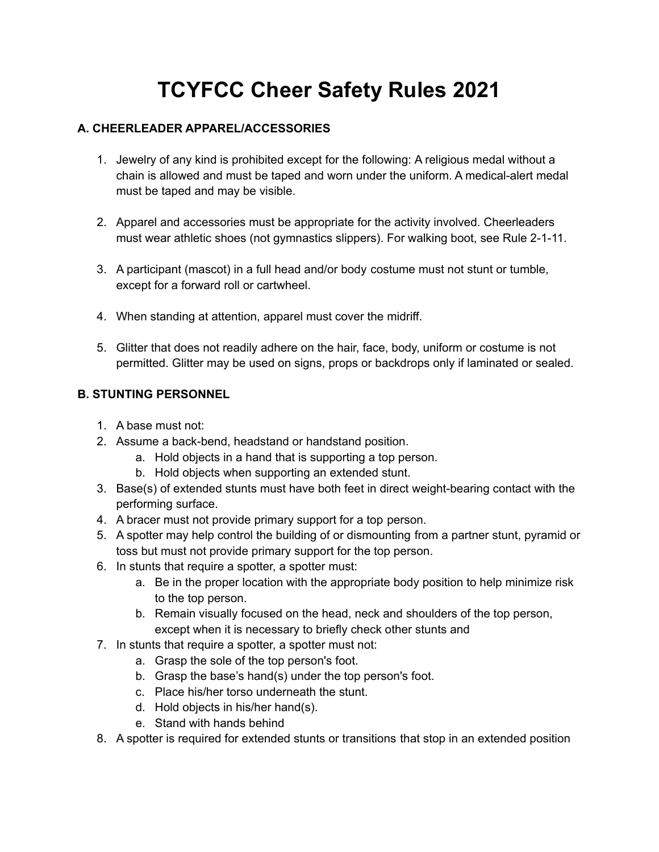# **TCYFCC Cheer Safety Rules 2021**

## **A. CHEERLEADER APPAREL/ACCESSORIES**

- 1. Jewelry of any kind is prohibited except for the following: A religious medal without a chain is allowed and must be taped and worn under the uniform. A medical-alert medal must be taped and may be visible.
- 2. Apparel and accessories must be appropriate for the activity involved. Cheerleaders must wear athletic shoes (not gymnastics slippers). For walking boot, see Rule 2-1-11.
- 3. A participant (mascot) in a full head and/or body costume must not stunt or tumble, except for a forward roll or cartwheel.
- 4. When standing at attention, apparel must cover the midriff.
- 5. Glitter that does not readily adhere on the hair, face, body, uniform or costume is not permitted. Glitter may be used on signs, props or backdrops only if laminated or sealed.

## **B. STUNTING PERSONNEL**

- 1. A base must not:
- 2. Assume a back-bend, headstand or handstand position.
	- a. Hold objects in a hand that is supporting a top person.
		- b. Hold objects when supporting an extended stunt.
- 3. Base(s) of extended stunts must have both feet in direct weight-bearing contact with the performing surface.
- 4. A bracer must not provide primary support for a top person.
- 5. A spotter may help control the building of or dismounting from a partner stunt, pyramid or toss but must not provide primary support for the top person.
- 6. In stunts that require a spotter, a spotter must:
	- a. Be in the proper location with the appropriate body position to help minimize risk to the top person.
	- b. Remain visually focused on the head, neck and shoulders of the top person, except when it is necessary to briefly check other stunts and
- 7. In stunts that require a spotter, a spotter must not:
	- a. Grasp the sole of the top person's foot.
	- b. Grasp the base's hand(s) under the top person's foot.
	- c. Place his/her torso underneath the stunt.
	- d. Hold objects in his/her hand(s).
	- e. Stand with hands behind
- 8. A spotter is required for extended stunts or transitions that stop in an extended position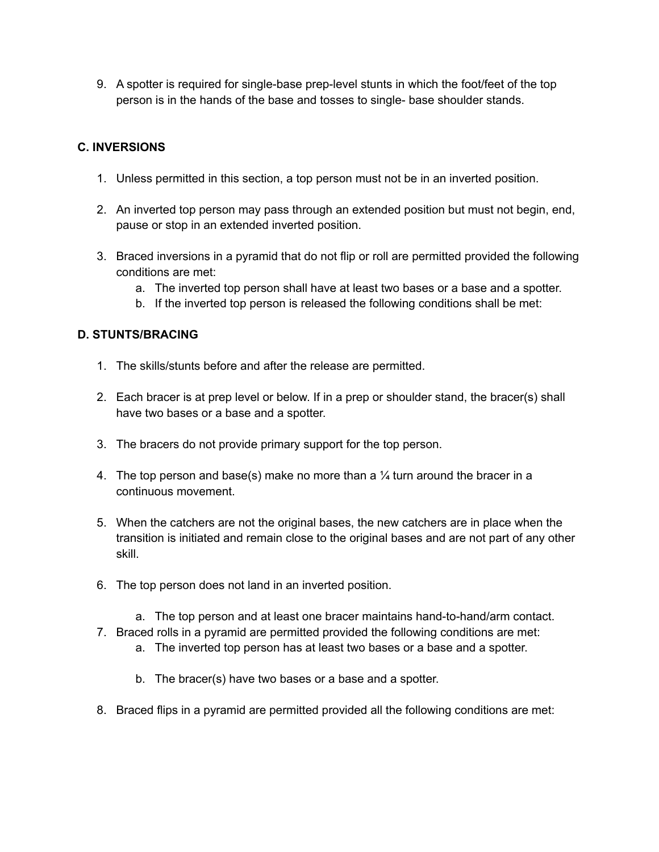9. A spotter is required for single-base prep-level stunts in which the foot/feet of the top person is in the hands of the base and tosses to single- base shoulder stands.

#### **C. INVERSIONS**

- 1. Unless permitted in this section, a top person must not be in an inverted position.
- 2. An inverted top person may pass through an extended position but must not begin, end, pause or stop in an extended inverted position.
- 3. Braced inversions in a pyramid that do not flip or roll are permitted provided the following conditions are met:
	- a. The inverted top person shall have at least two bases or a base and a spotter.
	- b. If the inverted top person is released the following conditions shall be met:

#### **D. STUNTS/BRACING**

- 1. The skills/stunts before and after the release are permitted.
- 2. Each bracer is at prep level or below. If in a prep or shoulder stand, the bracer(s) shall have two bases or a base and a spotter.
- 3. The bracers do not provide primary support for the top person.
- 4. The top person and base(s) make no more than a  $\frac{1}{4}$  turn around the bracer in a continuous movement.
- 5. When the catchers are not the original bases, the new catchers are in place when the transition is initiated and remain close to the original bases and are not part of any other skill.
- 6. The top person does not land in an inverted position.
	- a. The top person and at least one bracer maintains hand-to-hand/arm contact.
- 7. Braced rolls in a pyramid are permitted provided the following conditions are met:
	- a. The inverted top person has at least two bases or a base and a spotter.
	- b. The bracer(s) have two bases or a base and a spotter.
- 8. Braced flips in a pyramid are permitted provided all the following conditions are met: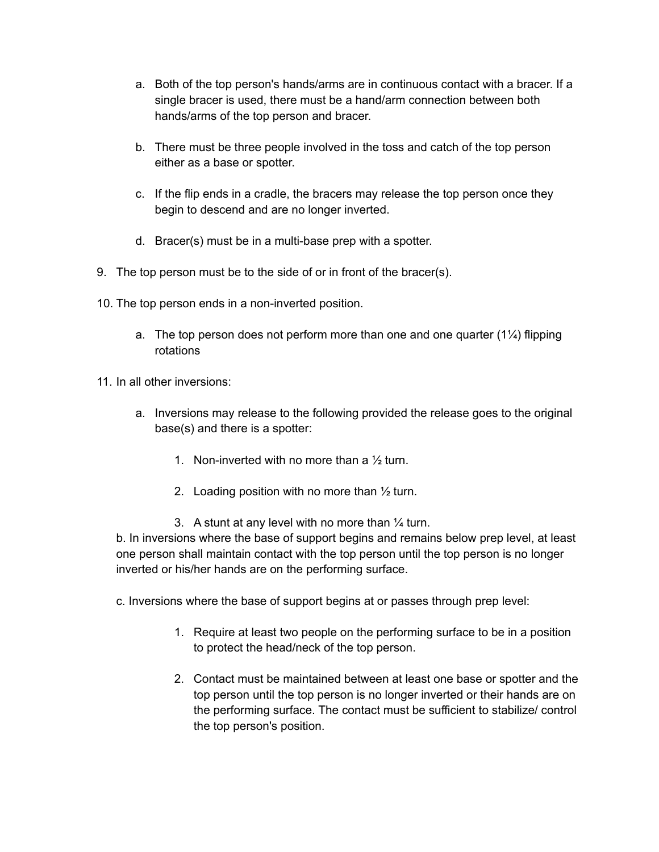- a. Both of the top person's hands/arms are in continuous contact with a bracer. If a single bracer is used, there must be a hand/arm connection between both hands/arms of the top person and bracer.
- b. There must be three people involved in the toss and catch of the top person either as a base or spotter.
- c. If the flip ends in a cradle, the bracers may release the top person once they begin to descend and are no longer inverted.
- d. Bracer(s) must be in a multi-base prep with a spotter.
- 9. The top person must be to the side of or in front of the bracer(s).
- 10. The top person ends in a non-inverted position.
	- a. The top person does not perform more than one and one quarter  $(1\frac{1}{4})$  flipping rotations
- 11. In all other inversions:
	- a. Inversions may release to the following provided the release goes to the original base(s) and there is a spotter:
		- 1. Non-inverted with no more than a  $\frac{1}{2}$  turn.
		- 2. Loading position with no more than  $\frac{1}{2}$  turn.
		- 3. A stunt at any level with no more than  $\frac{1}{4}$  turn.

b. In inversions where the base of support begins and remains below prep level, at least one person shall maintain contact with the top person until the top person is no longer inverted or his/her hands are on the performing surface.

c. Inversions where the base of support begins at or passes through prep level:

- 1. Require at least two people on the performing surface to be in a position to protect the head/neck of the top person.
- 2. Contact must be maintained between at least one base or spotter and the top person until the top person is no longer inverted or their hands are on the performing surface. The contact must be sufficient to stabilize/ control the top person's position.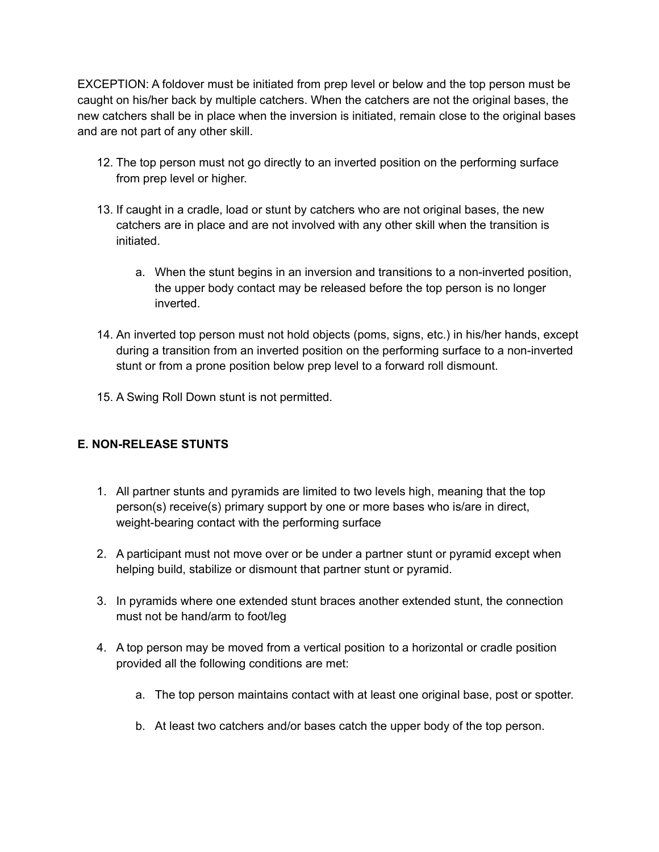EXCEPTION: A foldover must be initiated from prep level or below and the top person must be caught on his/her back by multiple catchers. When the catchers are not the original bases, the new catchers shall be in place when the inversion is initiated, remain close to the original bases and are not part of any other skill.

- 12. The top person must not go directly to an inverted position on the performing surface from prep level or higher.
- 13. If caught in a cradle, load or stunt by catchers who are not original bases, the new catchers are in place and are not involved with any other skill when the transition is initiated.
	- a. When the stunt begins in an inversion and transitions to a non-inverted position, the upper body contact may be released before the top person is no longer inverted.
- 14. An inverted top person must not hold objects (poms, signs, etc.) in his/her hands, except during a transition from an inverted position on the performing surface to a non-inverted stunt or from a prone position below prep level to a forward roll dismount.
- 15. A Swing Roll Down stunt is not permitted.

## **E. NON-RELEASE STUNTS**

- 1. All partner stunts and pyramids are limited to two levels high, meaning that the top person(s) receive(s) primary support by one or more bases who is/are in direct, weight-bearing contact with the performing surface
- 2. A participant must not move over or be under a partner stunt or pyramid except when helping build, stabilize or dismount that partner stunt or pyramid.
- 3. In pyramids where one extended stunt braces another extended stunt, the connection must not be hand/arm to foot/leg
- 4. A top person may be moved from a vertical position to a horizontal or cradle position provided all the following conditions are met:
	- a. The top person maintains contact with at least one original base, post or spotter.
	- b. At least two catchers and/or bases catch the upper body of the top person.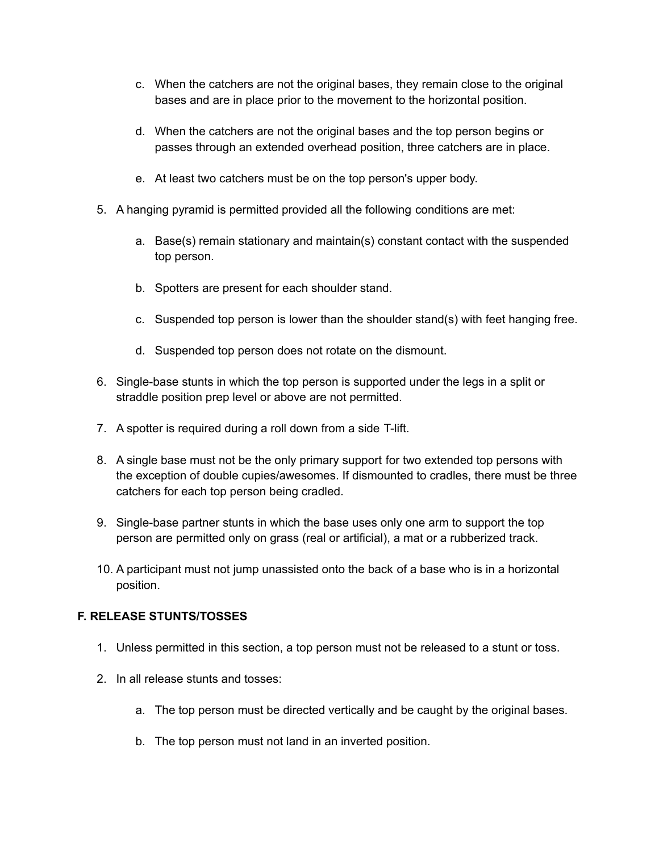- c. When the catchers are not the original bases, they remain close to the original bases and are in place prior to the movement to the horizontal position.
- d. When the catchers are not the original bases and the top person begins or passes through an extended overhead position, three catchers are in place.
- e. At least two catchers must be on the top person's upper body.
- 5. A hanging pyramid is permitted provided all the following conditions are met:
	- a. Base(s) remain stationary and maintain(s) constant contact with the suspended top person.
	- b. Spotters are present for each shoulder stand.
	- c. Suspended top person is lower than the shoulder stand(s) with feet hanging free.
	- d. Suspended top person does not rotate on the dismount.
- 6. Single-base stunts in which the top person is supported under the legs in a split or straddle position prep level or above are not permitted.
- 7. A spotter is required during a roll down from a side T-lift.
- 8. A single base must not be the only primary support for two extended top persons with the exception of double cupies/awesomes. If dismounted to cradles, there must be three catchers for each top person being cradled.
- 9. Single-base partner stunts in which the base uses only one arm to support the top person are permitted only on grass (real or artificial), a mat or a rubberized track.
- 10. A participant must not jump unassisted onto the back of a base who is in a horizontal position.

# **F. RELEASE STUNTS/TOSSES**

- 1. Unless permitted in this section, a top person must not be released to a stunt or toss.
- 2. In all release stunts and tosses:
	- a. The top person must be directed vertically and be caught by the original bases.
	- b. The top person must not land in an inverted position.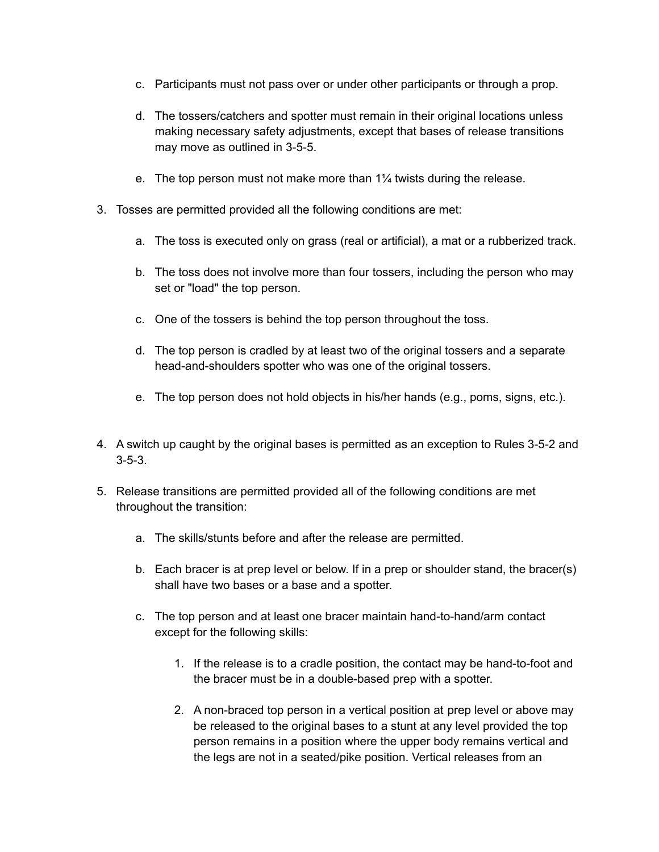- c. Participants must not pass over or under other participants or through a prop.
- d. The tossers/catchers and spotter must remain in their original locations unless making necessary safety adjustments, except that bases of release transitions may move as outlined in 3-5-5.
- e. The top person must not make more than 1¼ twists during the release.
- 3. Tosses are permitted provided all the following conditions are met:
	- a. The toss is executed only on grass (real or artificial), a mat or a rubberized track.
	- b. The toss does not involve more than four tossers, including the person who may set or "load" the top person.
	- c. One of the tossers is behind the top person throughout the toss.
	- d. The top person is cradled by at least two of the original tossers and a separate head-and-shoulders spotter who was one of the original tossers.
	- e. The top person does not hold objects in his/her hands (e.g., poms, signs, etc.).
- 4. A switch up caught by the original bases is permitted as an exception to Rules 3-5-2 and 3-5-3.
- 5. Release transitions are permitted provided all of the following conditions are met throughout the transition:
	- a. The skills/stunts before and after the release are permitted.
	- b. Each bracer is at prep level or below. If in a prep or shoulder stand, the bracer(s) shall have two bases or a base and a spotter.
	- c. The top person and at least one bracer maintain hand-to-hand/arm contact except for the following skills:
		- 1. If the release is to a cradle position, the contact may be hand-to-foot and the bracer must be in a double-based prep with a spotter.
		- 2. A non-braced top person in a vertical position at prep level or above may be released to the original bases to a stunt at any level provided the top person remains in a position where the upper body remains vertical and the legs are not in a seated/pike position. Vertical releases from an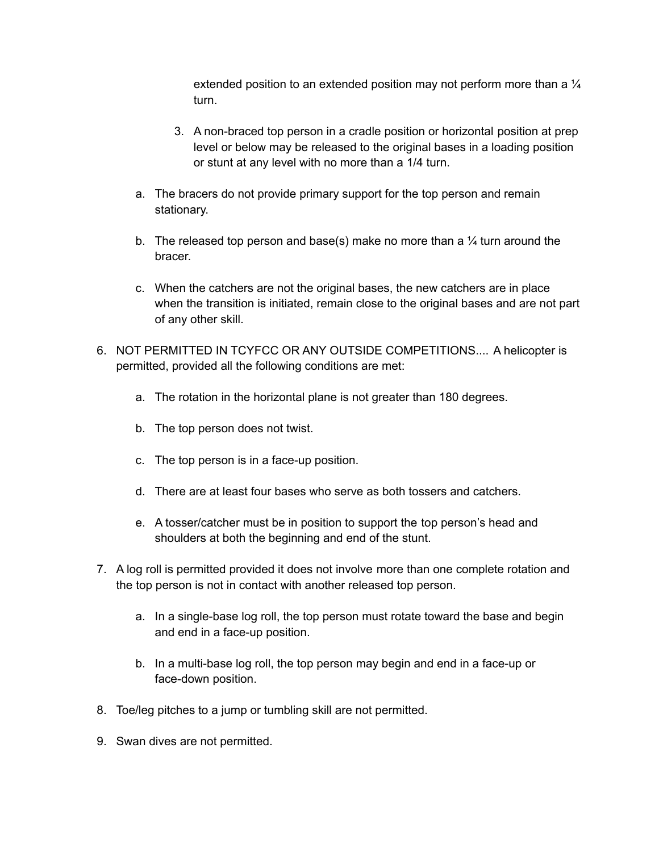extended position to an extended position may not perform more than a  $\frac{1}{4}$ turn.

- 3. A non-braced top person in a cradle position or horizontal position at prep level or below may be released to the original bases in a loading position or stunt at any level with no more than a 1/4 turn.
- a. The bracers do not provide primary support for the top person and remain stationary.
- b. The released top person and base(s) make no more than a  $\frac{1}{4}$  turn around the bracer.
- c. When the catchers are not the original bases, the new catchers are in place when the transition is initiated, remain close to the original bases and are not part of any other skill.
- 6. NOT PERMITTED IN TCYFCC OR ANY OUTSIDE COMPETITIONS.... A helicopter is permitted, provided all the following conditions are met:
	- a. The rotation in the horizontal plane is not greater than 180 degrees.
	- b. The top person does not twist.
	- c. The top person is in a face-up position.
	- d. There are at least four bases who serve as both tossers and catchers.
	- e. A tosser/catcher must be in position to support the top person's head and shoulders at both the beginning and end of the stunt.
- 7. A log roll is permitted provided it does not involve more than one complete rotation and the top person is not in contact with another released top person.
	- a. In a single-base log roll, the top person must rotate toward the base and begin and end in a face-up position.
	- b. In a multi-base log roll, the top person may begin and end in a face-up or face-down position.
- 8. Toe/leg pitches to a jump or tumbling skill are not permitted.
- 9. Swan dives are not permitted.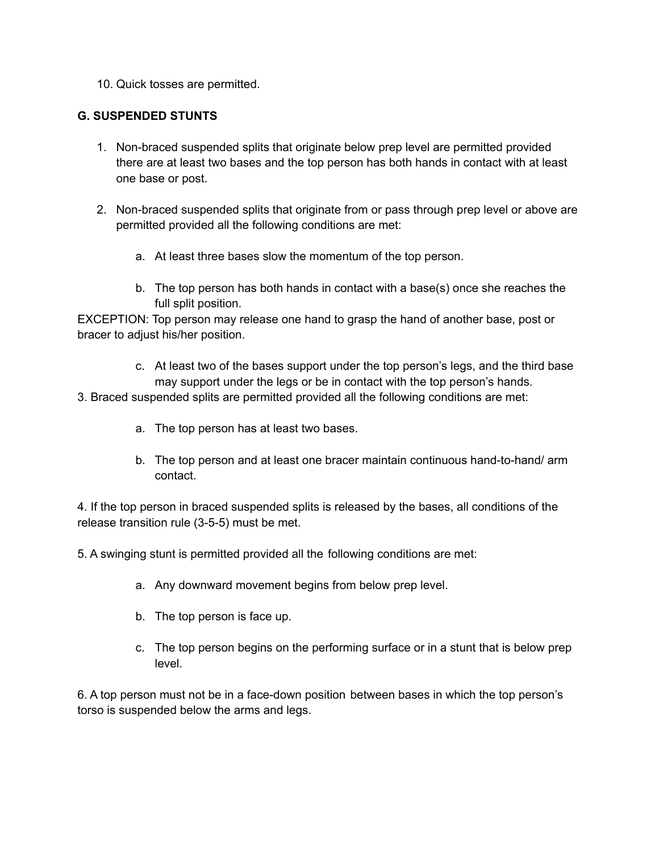10. Quick tosses are permitted.

#### **G. SUSPENDED STUNTS**

- 1. Non-braced suspended splits that originate below prep level are permitted provided there are at least two bases and the top person has both hands in contact with at least one base or post.
- 2. Non-braced suspended splits that originate from or pass through prep level or above are permitted provided all the following conditions are met:
	- a. At least three bases slow the momentum of the top person.
	- b. The top person has both hands in contact with a base(s) once she reaches the full split position.

EXCEPTION: Top person may release one hand to grasp the hand of another base, post or bracer to adjust his/her position.

- c. At least two of the bases support under the top person's legs, and the third base may support under the legs or be in contact with the top person's hands.
- 3. Braced suspended splits are permitted provided all the following conditions are met:
	- a. The top person has at least two bases.
	- b. The top person and at least one bracer maintain continuous hand-to-hand/ arm contact.

4. If the top person in braced suspended splits is released by the bases, all conditions of the release transition rule (3-5-5) must be met.

5. A swinging stunt is permitted provided all the following conditions are met:

- a. Any downward movement begins from below prep level.
- b. The top person is face up.
- c. The top person begins on the performing surface or in a stunt that is below prep level.

6. A top person must not be in a face-down position between bases in which the top person's torso is suspended below the arms and legs.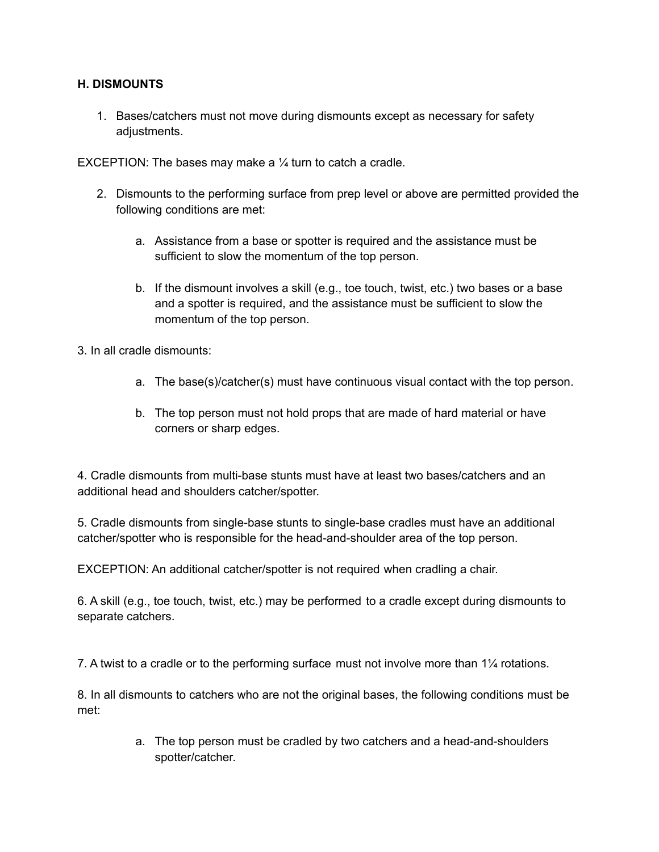#### **H. DISMOUNTS**

1. Bases/catchers must not move during dismounts except as necessary for safety adiustments.

EXCEPTION: The bases may make a  $\frac{1}{4}$  turn to catch a cradle.

- 2. Dismounts to the performing surface from prep level or above are permitted provided the following conditions are met:
	- a. Assistance from a base or spotter is required and the assistance must be sufficient to slow the momentum of the top person.
	- b. If the dismount involves a skill (e.g., toe touch, twist, etc.) two bases or a base and a spotter is required, and the assistance must be sufficient to slow the momentum of the top person.

3. In all cradle dismounts:

- a. The base(s)/catcher(s) must have continuous visual contact with the top person.
- b. The top person must not hold props that are made of hard material or have corners or sharp edges.

4. Cradle dismounts from multi-base stunts must have at least two bases/catchers and an additional head and shoulders catcher/spotter.

5. Cradle dismounts from single-base stunts to single-base cradles must have an additional catcher/spotter who is responsible for the head-and-shoulder area of the top person.

EXCEPTION: An additional catcher/spotter is not required when cradling a chair.

6. A skill (e.g., toe touch, twist, etc.) may be performed to a cradle except during dismounts to separate catchers.

7. A twist to a cradle or to the performing surface must not involve more than 1¼ rotations.

8. In all dismounts to catchers who are not the original bases, the following conditions must be met:

> a. The top person must be cradled by two catchers and a head-and-shoulders spotter/catcher.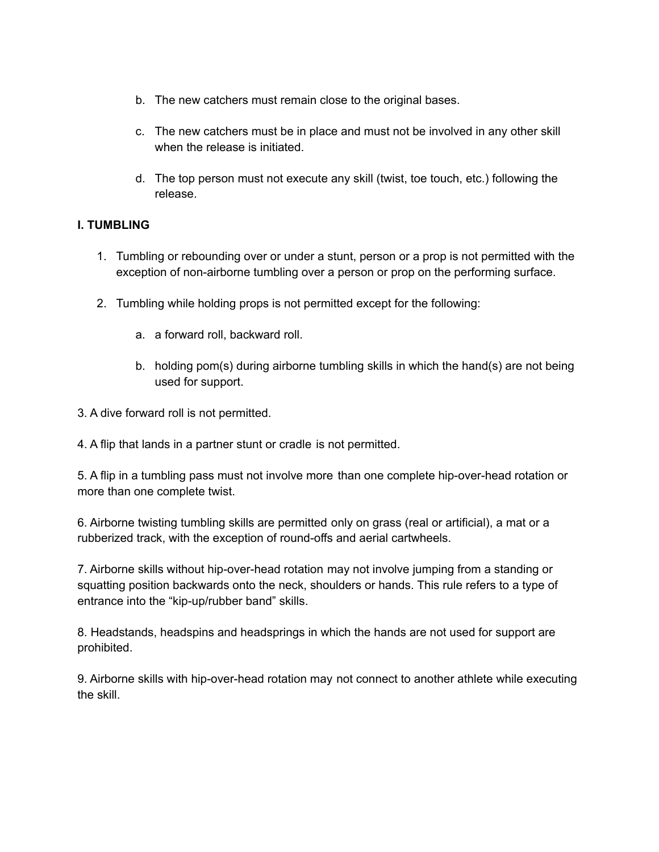- b. The new catchers must remain close to the original bases.
- c. The new catchers must be in place and must not be involved in any other skill when the release is initiated.
- d. The top person must not execute any skill (twist, toe touch, etc.) following the release.

#### **I. TUMBLING**

- 1. Tumbling or rebounding over or under a stunt, person or a prop is not permitted with the exception of non-airborne tumbling over a person or prop on the performing surface.
- 2. Tumbling while holding props is not permitted except for the following:
	- a. a forward roll, backward roll.
	- b. holding pom(s) during airborne tumbling skills in which the hand(s) are not being used for support.
- 3. A dive forward roll is not permitted.
- 4. A flip that lands in a partner stunt or cradle is not permitted.

5. A flip in a tumbling pass must not involve more than one complete hip-over-head rotation or more than one complete twist.

6. Airborne twisting tumbling skills are permitted only on grass (real or artificial), a mat or a rubberized track, with the exception of round-offs and aerial cartwheels.

7. Airborne skills without hip-over-head rotation may not involve jumping from a standing or squatting position backwards onto the neck, shoulders or hands. This rule refers to a type of entrance into the "kip-up/rubber band" skills.

8. Headstands, headspins and headsprings in which the hands are not used for support are prohibited.

9. Airborne skills with hip-over-head rotation may not connect to another athlete while executing the skill.